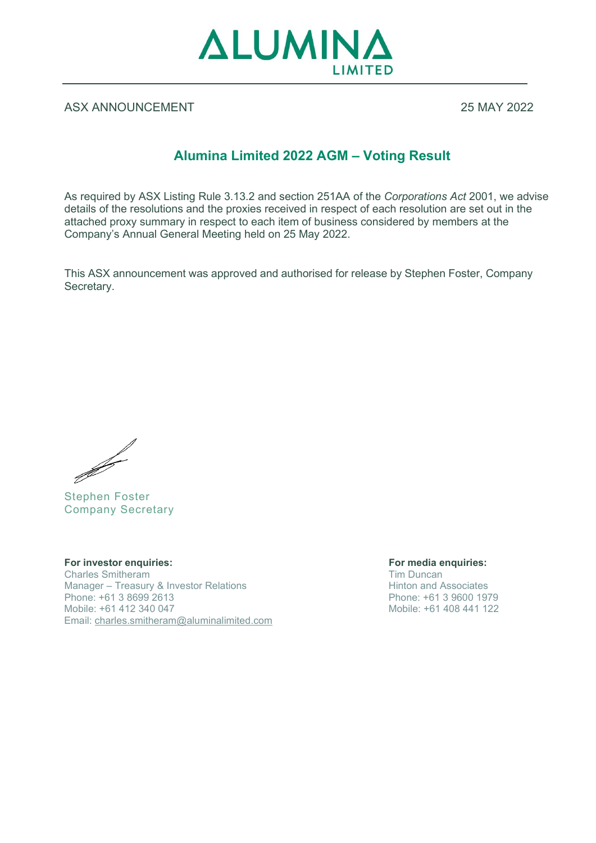

## ASX ANNOUNCEMENT 25 MAY 2022

## **Alumina Limited 2022 AGM – Voting Result**

As required by ASX Listing Rule 3.13.2 and section 251AA of the *Corporations Act* 2001, we advise details of the resolutions and the proxies received in respect of each resolution are set out in the attached proxy summary in respect to each item of business considered by members at the Company's Annual General Meeting held on 25 May 2022.

This ASX announcement was approved and authorised for release by Stephen Foster, Company Secretary.

Stephen Foster

Company Secretary

**For investor enquiries: For media enquiries:** Charles Smitheram<br>
Manager – Treasury & Investor Relations<br>
Manager – Treasury & Investor Relations<br>
Tim Duncan<br>
Hinton and Associates Manager – Treasury & Investor Relations<br>
Phone: +61 3 8699 2613<br>
Phone: +61 3 9600 1979 Phone: +61 3 8699 2613<br>Mobile: +61 412 340 047 Email: [charles.smitheram@aluminalimited.com](mailto:charles.smitheram@aluminalimited.com)

Mobile: +61 408 441 122